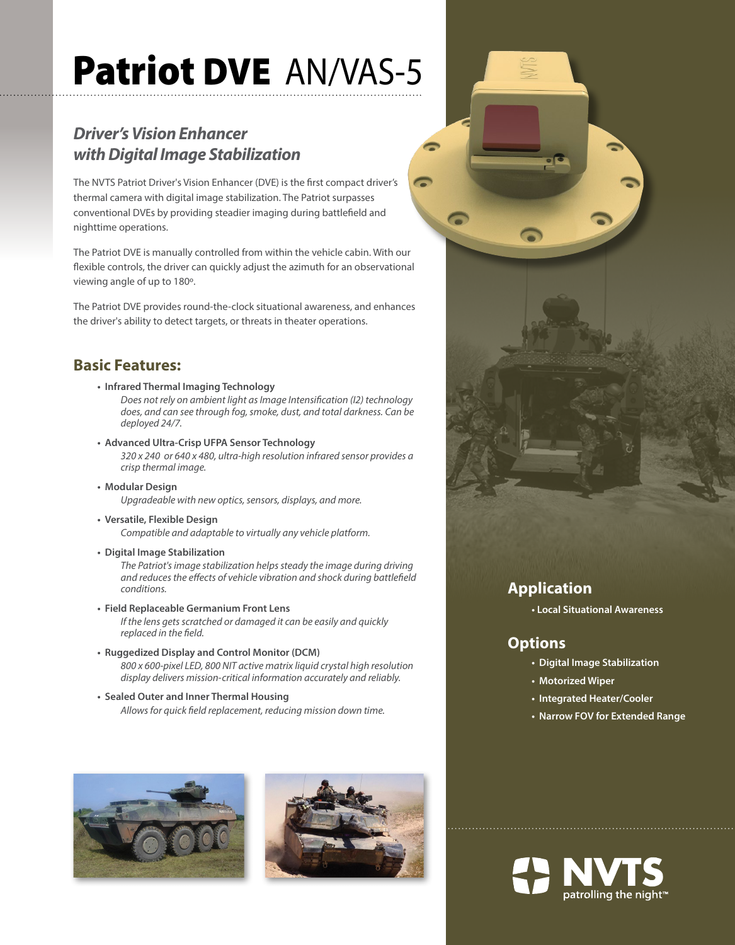# Patriot DVE AN/VAS-5

### *Driver's Vision Enhancer with Digital Image Stabilization*

The NVTS Patriot Driver's Vision Enhancer (DVE) is the first compact driver's thermal camera with digital image stabilization. The Patriot surpasses conventional DVEs by providing steadier imaging during battlefield and nighttime operations.

The Patriot DVE is manually controlled from within the vehicle cabin. With our flexible controls, the driver can quickly adjust the azimuth for an observational viewing angle of up to 180º.

The Patriot DVE provides round-the-clock situational awareness, and enhances the driver's ability to detect targets, or threats in theater operations.

#### **Basic Features:**

**• Infrared Thermal Imaging Technology**

*Does not rely on ambient light as Image Intensification (I2) technology does, and can see through fog, smoke, dust, and total darkness. Can be deployed 24/7.* 

- **• Advanced Ultra-Crisp UFPA Sensor Technology**  *320 x 240 or 640 x 480, ultra-high resolution infrared sensor provides a crisp thermal image.*
- **• Modular Design**  *Upgradeable with new optics, sensors, displays, and more.*
- **• Versatile, Flexible Design**  *Compatible and adaptable to virtually any vehicle platform.*
- **• Digital Image Stabilization**

*The Patriot's image stabilization helps steady the image during driving and reduces the effects of vehicle vibration and shock during battlefield conditions.*

- **• Field Replaceable Germanium Front Lens**  *If the lens gets scratched or damaged it can be easily and quickly replaced in the field.*
- **• Ruggedized Display and Control Monitor (DCM)**  *800 x 600-pixel LED, 800 NIT active matrix liquid crystal high resolution display delivers mission-critical information accurately and reliably.*
- **• Sealed Outer and Inner Thermal Housing**  *Allows for quick field replacement, reducing mission down time.*







#### **Application**

**• Local Situational Awareness** 

#### **Options**

- **• Digital Image Stabilization**
- **• Motorized Wiper**
- **• Integrated Heater/Cooler**
- **• Narrow FOV for Extended Range**